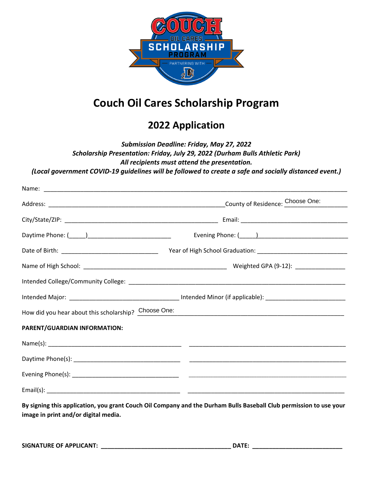

# **Couch Oil Cares Scholarship Program**

# **2022 Application**

## *Submission Deadline: Friday, May 27, 2022 Scholarship Presentation: Friday, July 29, 2022 (Durham Bulls Athletic Park) All recipients must attend the presentation. (Local government COVID-19 guidelines will be followed to create a safe and socially distanced event.)*

| How did you hear about this scholarship? Choose One: | <u> 1989 - Johann John Stoff, deutscher Stoff als der Stoff als der Stoff als der Stoff als der Stoff als der Stoff</u> |
|------------------------------------------------------|-------------------------------------------------------------------------------------------------------------------------|
| PARENT/GUARDIAN INFORMATION:                         |                                                                                                                         |
|                                                      |                                                                                                                         |
|                                                      |                                                                                                                         |
|                                                      |                                                                                                                         |
|                                                      |                                                                                                                         |
| image in print and/or digital media.                 | By signing this application, you grant Couch Oil Company and the Durham Bulls Baseball Club permission to use your      |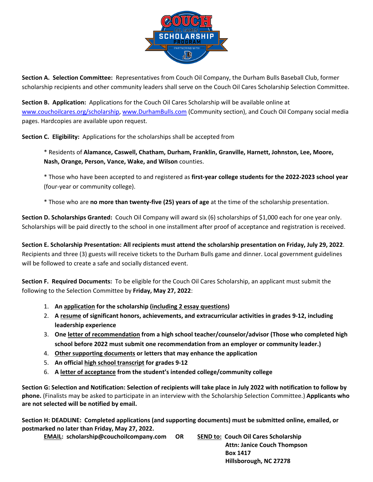

**Section A. Selection Committee:** Representatives from Couch Oil Company, the Durham Bulls Baseball Club, former scholarship recipients and other community leaders shall serve on the Couch Oil Cares Scholarship Selection Committee.

**Section B. Application:** Applications for the Couch Oil Cares Scholarship will be available online at [www.couchoilcares.org/scholarship,](http://www.couchoilcares.org/scholarship) [www.DurhamBulls.com](http://www.durhambulls.com/) (Community section), and Couch Oil Company social media pages. Hardcopies are available upon request.

**Section C. Eligibility:** Applications for the scholarships shall be accepted from

\* Residents of **Alamance, Caswell, Chatham, Durham, Franklin, Granville, Harnett, Johnston, Lee, Moore, Nash, Orange, Person, Vance, Wake, and Wilson** counties.

\* Those who have been accepted to and registered as **first-year college students for the 2022-2023 school year** (four-year or community college).

\* Those who are **no more than twenty-five (25) years of age** at the time of the scholarship presentation.

**Section D. Scholarships Granted:** Couch Oil Company will award six (6) scholarships of \$1,000 each for one year only. Scholarships will be paid directly to the school in one installment after proof of acceptance and registration is received.

**Section E. Scholarship Presentation: All recipients must attend the scholarship presentation on Friday, July 29, 2022**. Recipients and three (3) guests will receive tickets to the Durham Bulls game and dinner. Local government guidelines will be followed to create a safe and socially distanced event.

**Section F. Required Documents:** To be eligible for the Couch Oil Cares Scholarship, an applicant must submit the following to the Selection Committee by **Friday, May 27, 2022**:

- 1. **An application for the scholarship (including 2 essay questions)**
- 2. **A resume of significant honors, achievements, and extracurricular activities in grades 9-12, including leadership experience**
- 3. **One letter of recommendation from a high school teacher/counselor/advisor (Those who completed high school before 2022 must submit one recommendation from an employer or community leader.)**
- 4. **Other supporting documents or letters that may enhance the application**
- 5. **An official high school transcript for grades 9-12**
- 6. **A letter of acceptance from the student's intended college/community college**

**Section G: Selection and Notification: Selection of recipients will take place in July 2022 with notification to follow by phone.** (Finalists may be asked to participate in an interview with the Scholarship Selection Committee.) **Applicants who are not selected will be notified by email.**

**Section H: DEADLINE: Completed applications (and supporting documents) must be submitted online, emailed, or postmarked no later than Friday, May 27, 2022.** 

**EMAIL: scholarship@couchoilcompany.com OR SEND to: Couch Oil Cares Scholarship**

 **Attn: Janice Couch Thompson Box 1417 Hillsborough, NC 27278**